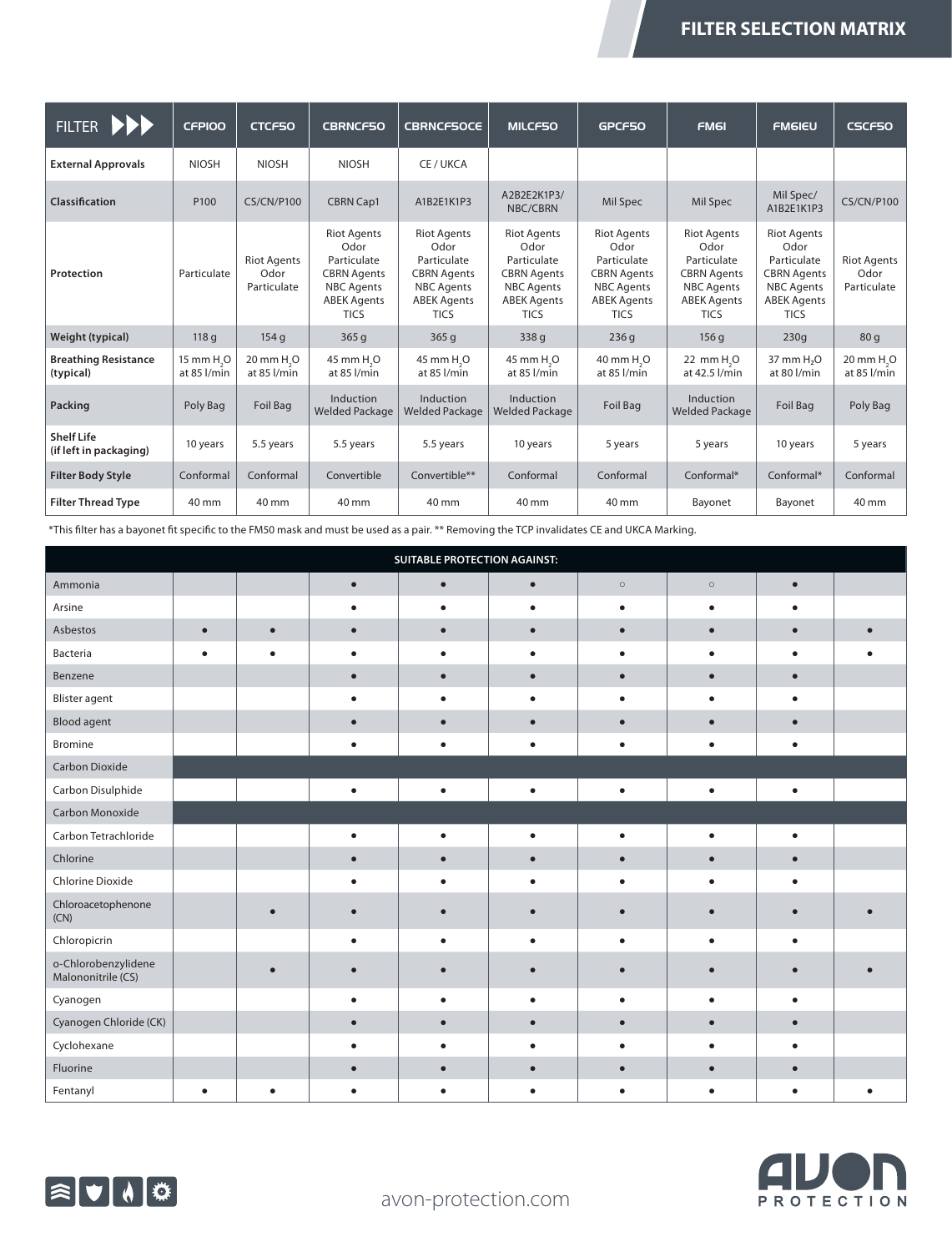| <b>FILTER</b><br><b>PPP</b>                 | <b>CFPIOO</b>                         | <b>CTCF50</b>                             | <b>CBRNCF50</b>                                                                                                           | <b>CBRNCF50CE</b>                                                                                                         | <b>MILCF50</b>                                                                                                            | GPCF50                                                                                                                    | <b>FM6I</b>                                                                                                               | <b>FMGIEU</b>                                                                                                             | CSCF50                                    |
|---------------------------------------------|---------------------------------------|-------------------------------------------|---------------------------------------------------------------------------------------------------------------------------|---------------------------------------------------------------------------------------------------------------------------|---------------------------------------------------------------------------------------------------------------------------|---------------------------------------------------------------------------------------------------------------------------|---------------------------------------------------------------------------------------------------------------------------|---------------------------------------------------------------------------------------------------------------------------|-------------------------------------------|
| <b>External Approvals</b>                   | <b>NIOSH</b>                          | <b>NIOSH</b>                              | <b>NIOSH</b>                                                                                                              | CE / UKCA                                                                                                                 |                                                                                                                           |                                                                                                                           |                                                                                                                           |                                                                                                                           |                                           |
| Classification                              | P <sub>100</sub>                      | <b>CS/CN/P100</b>                         | <b>CBRN Cap1</b>                                                                                                          | A1B2E1K1P3                                                                                                                | A2B2E2K1P3/<br>NBC/CBRN                                                                                                   | Mil Spec                                                                                                                  | Mil Spec                                                                                                                  | Mil Spec/<br>A1B2E1K1P3                                                                                                   | <b>CS/CN/P100</b>                         |
| Protection                                  | Particulate                           | <b>Riot Agents</b><br>Odor<br>Particulate | <b>Riot Agents</b><br>Odor<br>Particulate<br><b>CBRN Agents</b><br><b>NBC</b> Agents<br><b>ABEK Agents</b><br><b>TICS</b> | <b>Riot Agents</b><br>Odor<br>Particulate<br><b>CBRN Agents</b><br><b>NBC Agents</b><br><b>ABEK Agents</b><br><b>TICS</b> | <b>Riot Agents</b><br>Odor<br>Particulate<br><b>CBRN Agents</b><br><b>NBC Agents</b><br><b>ABEK Agents</b><br><b>TICS</b> | <b>Riot Agents</b><br>Odor<br>Particulate<br><b>CBRN Agents</b><br><b>NBC</b> Agents<br><b>ABEK Agents</b><br><b>TICS</b> | <b>Riot Agents</b><br>Odor<br>Particulate<br><b>CBRN Agents</b><br><b>NBC Agents</b><br><b>ABEK Agents</b><br><b>TICS</b> | <b>Riot Agents</b><br>Odor<br>Particulate<br><b>CBRN Agents</b><br><b>NBC Agents</b><br><b>ABEK Agents</b><br><b>TICS</b> | <b>Riot Agents</b><br>Odor<br>Particulate |
| Weight (typical)                            | 118q                                  | 154q                                      | 365q                                                                                                                      | 365q                                                                                                                      | 338 g                                                                                                                     | 236q                                                                                                                      | 156q                                                                                                                      | 230q                                                                                                                      | 80q                                       |
| <b>Breathing Resistance</b><br>(typical)    | 15 mm H <sub>.</sub> O<br>at 85 l/min | 20 mm H <sub>.</sub> O<br>at 85 l/min     | 45 mm H <sub>.</sub> O<br>at 85 l/min                                                                                     | 45 mm H <sub>.</sub> O<br>at 85 l/min                                                                                     | 45 mm H <sub>.</sub> O<br>at 85 l/min                                                                                     | 40 mm H <sub>.</sub> O<br>at 85 l/min                                                                                     | 22 mm H <sub>2</sub> O<br>at 42.5 l/min                                                                                   | 37 mm H <sub>2</sub> O<br>at 80 l/min                                                                                     | 20 mm H <sub>.</sub> O<br>at 85 l/min     |
| Packing                                     | Poly Bag                              | <b>Foil Bag</b>                           | Induction<br><b>Welded Package</b>                                                                                        | Induction<br><b>Welded Package</b>                                                                                        | Induction<br><b>Welded Package</b>                                                                                        | Foil Bag                                                                                                                  | Induction<br><b>Welded Package</b>                                                                                        | Foil Bag                                                                                                                  | Poly Bag                                  |
| <b>Shelf Life</b><br>(if left in packaging) | 10 years                              | 5.5 years                                 | 5.5 years                                                                                                                 | 5.5 years                                                                                                                 | 10 years                                                                                                                  | 5 years                                                                                                                   | 5 years                                                                                                                   | 10 years                                                                                                                  | 5 years                                   |
| <b>Filter Body Style</b>                    | Conformal                             | Conformal                                 | Convertible                                                                                                               | Convertible**                                                                                                             | Conformal                                                                                                                 | Conformal                                                                                                                 | Conformal*                                                                                                                | Conformal*                                                                                                                | Conformal                                 |
| <b>Filter Thread Type</b>                   | 40 mm                                 | 40 mm                                     | 40 mm                                                                                                                     | 40 mm                                                                                                                     | 40 mm                                                                                                                     | 40 mm                                                                                                                     | Bayonet                                                                                                                   | Bayonet                                                                                                                   | 40 mm                                     |

\*This filter has a bayonet fit specific to the FM50 mask and must be used as a pair. \*\* Removing the TCP invalidates CE and UKCA Marking.

| <b>SUITABLE PROTECTION AGAINST:</b>       |           |           |           |           |           |           |           |           |  |
|-------------------------------------------|-----------|-----------|-----------|-----------|-----------|-----------|-----------|-----------|--|
| Ammonia                                   |           |           | $\bullet$ | $\bullet$ | $\bullet$ | $\circ$   | $\circ$   | $\bullet$ |  |
| Arsine                                    |           |           |           | $\bullet$ | ٠         | $\bullet$ | $\bullet$ | $\bullet$ |  |
| Asbestos                                  | $\bullet$ | $\bullet$ | $\bullet$ | $\bullet$ | $\bullet$ | $\bullet$ | $\bullet$ | $\bullet$ |  |
| Bacteria                                  | $\bullet$ | ٠         | ٠         | $\bullet$ | ٠         | ٠         | $\bullet$ | $\bullet$ |  |
| Benzene                                   |           |           |           | $\bullet$ | $\bullet$ | $\bullet$ | $\bullet$ | $\bullet$ |  |
| <b>Blister agent</b>                      |           |           |           | $\bullet$ | ٠         |           | ٠         | $\bullet$ |  |
| <b>Blood agent</b>                        |           |           |           | $\bullet$ | $\bullet$ |           |           | $\bullet$ |  |
| Bromine                                   |           |           | $\bullet$ | $\bullet$ | $\bullet$ | $\bullet$ | $\bullet$ | $\bullet$ |  |
| Carbon Dioxide                            |           |           |           |           |           |           |           |           |  |
| Carbon Disulphide                         |           |           | $\bullet$ | $\bullet$ | $\bullet$ | $\bullet$ | $\bullet$ | $\bullet$ |  |
| Carbon Monoxide                           |           |           |           |           |           |           |           |           |  |
| Carbon Tetrachloride                      |           |           |           | ٠         |           |           |           | ٠         |  |
| Chlorine                                  |           |           |           | $\bullet$ |           |           |           | $\bullet$ |  |
| Chlorine Dioxide                          |           |           |           |           |           |           |           | $\bullet$ |  |
| Chloroacetophenone<br>(CN)                |           |           |           |           |           |           |           |           |  |
| Chloropicrin                              |           |           |           | ٠         |           |           |           | $\bullet$ |  |
| o-Chlorobenzylidene<br>Malononitrile (CS) |           |           |           |           |           |           |           |           |  |
| Cyanogen                                  |           |           |           |           |           |           |           | ٠         |  |
| Cyanogen Chloride (CK)                    |           |           |           |           |           |           |           | $\bullet$ |  |
| Cyclohexane                               |           |           |           |           |           |           |           |           |  |
| Fluorine                                  |           |           |           |           |           |           |           | $\bullet$ |  |
| Fentanyl                                  |           |           |           |           |           |           |           |           |  |